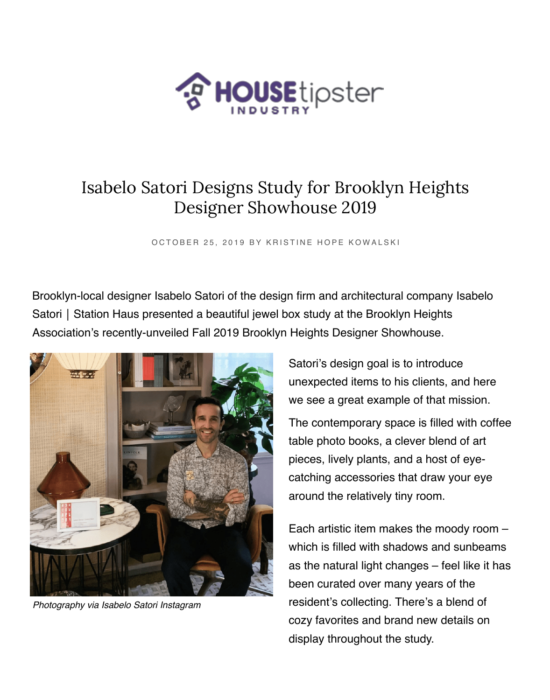

## Isabelo Satori Designs Study for Brooklyn Heights Designer Showhouse 2019

OCTOBER 25, 2019 BY KRISTINE HOPE KOWALSKI

Brooklyn-local designer Isabelo Satori of the design firm and architectural company Isabelo Satori | Station Haus presented a beautiful jewel box study at the Brooklyn Heights Association's [recently-unveiled Fall 2019 Brooklyn Heights Designer Showhouse.](https://industry.housetipster.com/brands/isabelo-satori-station-haus)



*Photography via Isabelo Satori Instagram*

Satori's design goal is to introduce unexpected items to his clients, and here we see a great example of that mission.

The contemporary space is filled with coffee table photo books, a clever blend of art pieces, lively plants, and a host of eyecatching accessories that draw your eye around the relatively tiny room.

Each artistic item makes the moody room – which is filled with shadows and sunbeams as the natural light changes – feel like it has been curated over many years of the resident's collecting. There's a blend of cozy favorites and brand new details on display throughout the study.